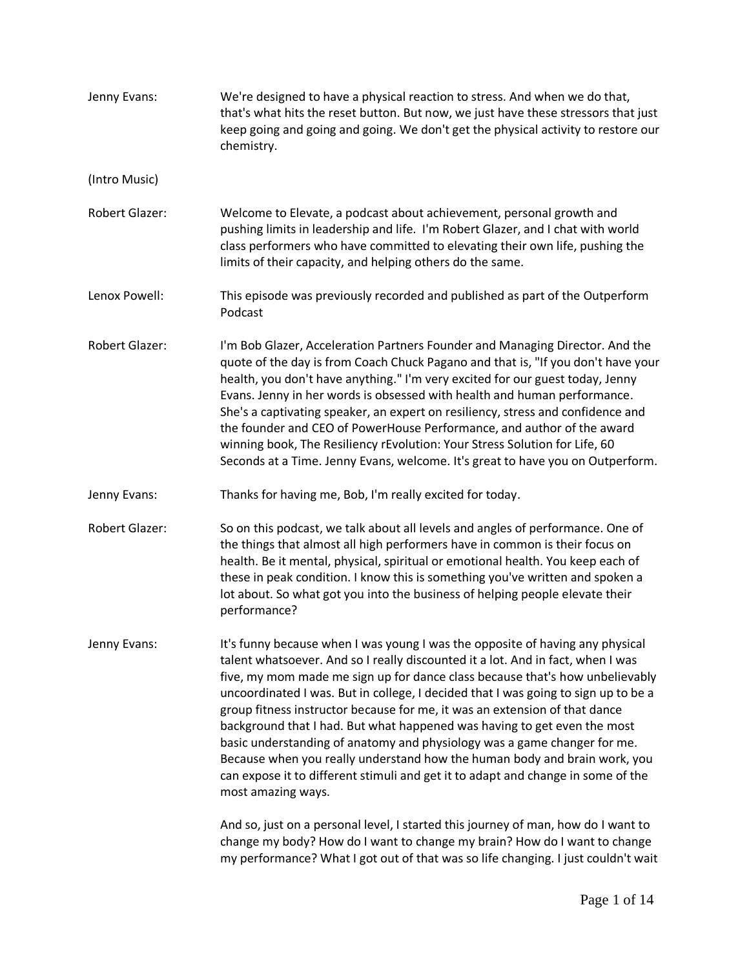| Jenny Evans:          | We're designed to have a physical reaction to stress. And when we do that,<br>that's what hits the reset button. But now, we just have these stressors that just<br>keep going and going and going. We don't get the physical activity to restore our<br>chemistry.                                                                                                                                                                                                                                                                                                                                                                                                                                                                                                 |
|-----------------------|---------------------------------------------------------------------------------------------------------------------------------------------------------------------------------------------------------------------------------------------------------------------------------------------------------------------------------------------------------------------------------------------------------------------------------------------------------------------------------------------------------------------------------------------------------------------------------------------------------------------------------------------------------------------------------------------------------------------------------------------------------------------|
| (Intro Music)         |                                                                                                                                                                                                                                                                                                                                                                                                                                                                                                                                                                                                                                                                                                                                                                     |
| <b>Robert Glazer:</b> | Welcome to Elevate, a podcast about achievement, personal growth and<br>pushing limits in leadership and life. I'm Robert Glazer, and I chat with world<br>class performers who have committed to elevating their own life, pushing the<br>limits of their capacity, and helping others do the same.                                                                                                                                                                                                                                                                                                                                                                                                                                                                |
| Lenox Powell:         | This episode was previously recorded and published as part of the Outperform<br>Podcast                                                                                                                                                                                                                                                                                                                                                                                                                                                                                                                                                                                                                                                                             |
| <b>Robert Glazer:</b> | I'm Bob Glazer, Acceleration Partners Founder and Managing Director. And the<br>quote of the day is from Coach Chuck Pagano and that is, "If you don't have your<br>health, you don't have anything." I'm very excited for our guest today, Jenny<br>Evans. Jenny in her words is obsessed with health and human performance.<br>She's a captivating speaker, an expert on resiliency, stress and confidence and<br>the founder and CEO of PowerHouse Performance, and author of the award<br>winning book, The Resiliency rEvolution: Your Stress Solution for Life, 60<br>Seconds at a Time. Jenny Evans, welcome. It's great to have you on Outperform.                                                                                                          |
| Jenny Evans:          | Thanks for having me, Bob, I'm really excited for today.                                                                                                                                                                                                                                                                                                                                                                                                                                                                                                                                                                                                                                                                                                            |
| Robert Glazer:        | So on this podcast, we talk about all levels and angles of performance. One of<br>the things that almost all high performers have in common is their focus on<br>health. Be it mental, physical, spiritual or emotional health. You keep each of<br>these in peak condition. I know this is something you've written and spoken a<br>lot about. So what got you into the business of helping people elevate their<br>performance?                                                                                                                                                                                                                                                                                                                                   |
| Jenny Evans:          | It's funny because when I was young I was the opposite of having any physical<br>talent whatsoever. And so I really discounted it a lot. And in fact, when I was<br>five, my mom made me sign up for dance class because that's how unbelievably<br>uncoordinated I was. But in college, I decided that I was going to sign up to be a<br>group fitness instructor because for me, it was an extension of that dance<br>background that I had. But what happened was having to get even the most<br>basic understanding of anatomy and physiology was a game changer for me.<br>Because when you really understand how the human body and brain work, you<br>can expose it to different stimuli and get it to adapt and change in some of the<br>most amazing ways. |
|                       | And so, just on a personal level, I started this journey of man, how do I want to<br>change my body? How do I want to change my brain? How do I want to change<br>my performance? What I got out of that was so life changing. I just couldn't wait                                                                                                                                                                                                                                                                                                                                                                                                                                                                                                                 |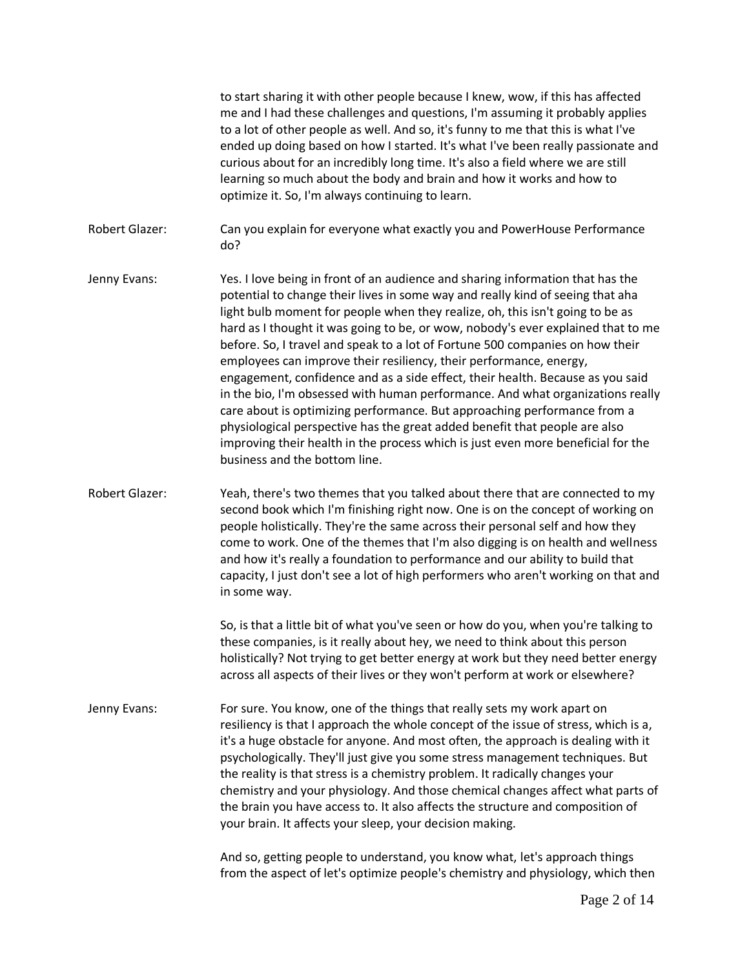to start sharing it with other people because I knew, wow, if this has affected me and I had these challenges and questions, I'm assuming it probably applies to a lot of other people as well. And so, it's funny to me that this is what I've ended up doing based on how I started. It's what I've been really passionate and curious about for an incredibly long time. It's also a field where we are still learning so much about the body and brain and how it works and how to optimize it. So, I'm always continuing to learn. Robert Glazer: Can you explain for everyone what exactly you and PowerHouse Performance do? Jenny Evans: Yes. I love being in front of an audience and sharing information that has the potential to change their lives in some way and really kind of seeing that aha light bulb moment for people when they realize, oh, this isn't going to be as hard as I thought it was going to be, or wow, nobody's ever explained that to me before. So, I travel and speak to a lot of Fortune 500 companies on how their employees can improve their resiliency, their performance, energy, engagement, confidence and as a side effect, their health. Because as you said in the bio, I'm obsessed with human performance. And what organizations really care about is optimizing performance. But approaching performance from a physiological perspective has the great added benefit that people are also improving their health in the process which is just even more beneficial for the business and the bottom line. Robert Glazer: Yeah, there's two themes that you talked about there that are connected to my second book which I'm finishing right now. One is on the concept of working on people holistically. They're the same across their personal self and how they come to work. One of the themes that I'm also digging is on health and wellness and how it's really a foundation to performance and our ability to build that capacity, I just don't see a lot of high performers who aren't working on that and in some way. So, is that a little bit of what you've seen or how do you, when you're talking to these companies, is it really about hey, we need to think about this person holistically? Not trying to get better energy at work but they need better energy across all aspects of their lives or they won't perform at work or elsewhere? Jenny Evans: For sure. You know, one of the things that really sets my work apart on resiliency is that I approach the whole concept of the issue of stress, which is a, it's a huge obstacle for anyone. And most often, the approach is dealing with it psychologically. They'll just give you some stress management techniques. But the reality is that stress is a chemistry problem. It radically changes your chemistry and your physiology. And those chemical changes affect what parts of the brain you have access to. It also affects the structure and composition of your brain. It affects your sleep, your decision making. And so, getting people to understand, you know what, let's approach things from the aspect of let's optimize people's chemistry and physiology, which then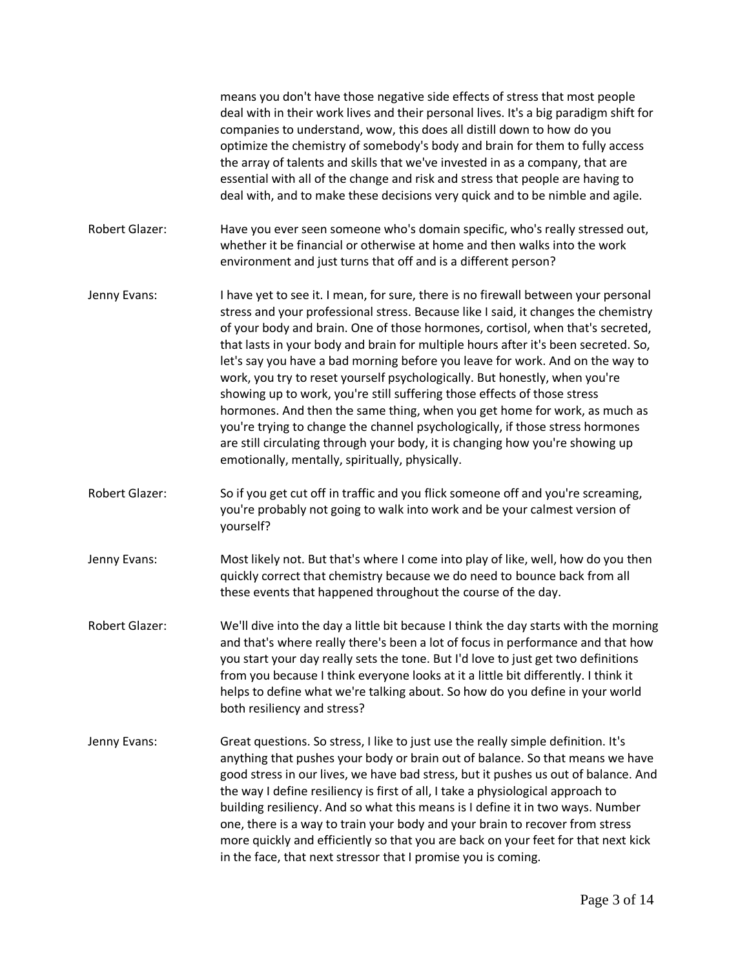means you don't have those negative side effects of stress that most people deal with in their work lives and their personal lives. It's a big paradigm shift for companies to understand, wow, this does all distill down to how do you optimize the chemistry of somebody's body and brain for them to fully access the array of talents and skills that we've invested in as a company, that are essential with all of the change and risk and stress that people are having to deal with, and to make these decisions very quick and to be nimble and agile. Robert Glazer: Have you ever seen someone who's domain specific, who's really stressed out, whether it be financial or otherwise at home and then walks into the work environment and just turns that off and is a different person? Jenny Evans: I have yet to see it. I mean, for sure, there is no firewall between your personal stress and your professional stress. Because like I said, it changes the chemistry of your body and brain. One of those hormones, cortisol, when that's secreted, that lasts in your body and brain for multiple hours after it's been secreted. So, let's say you have a bad morning before you leave for work. And on the way to work, you try to reset yourself psychologically. But honestly, when you're showing up to work, you're still suffering those effects of those stress hormones. And then the same thing, when you get home for work, as much as you're trying to change the channel psychologically, if those stress hormones are still circulating through your body, it is changing how you're showing up emotionally, mentally, spiritually, physically. Robert Glazer: So if you get cut off in traffic and you flick someone off and you're screaming, you're probably not going to walk into work and be your calmest version of yourself? Jenny Evans: Most likely not. But that's where I come into play of like, well, how do you then quickly correct that chemistry because we do need to bounce back from all these events that happened throughout the course of the day. Robert Glazer: We'll dive into the day a little bit because I think the day starts with the morning and that's where really there's been a lot of focus in performance and that how you start your day really sets the tone. But I'd love to just get two definitions from you because I think everyone looks at it a little bit differently. I think it helps to define what we're talking about. So how do you define in your world both resiliency and stress? Jenny Evans: Great questions. So stress, I like to just use the really simple definition. It's anything that pushes your body or brain out of balance. So that means we have good stress in our lives, we have bad stress, but it pushes us out of balance. And the way I define resiliency is first of all, I take a physiological approach to building resiliency. And so what this means is I define it in two ways. Number one, there is a way to train your body and your brain to recover from stress more quickly and efficiently so that you are back on your feet for that next kick in the face, that next stressor that I promise you is coming.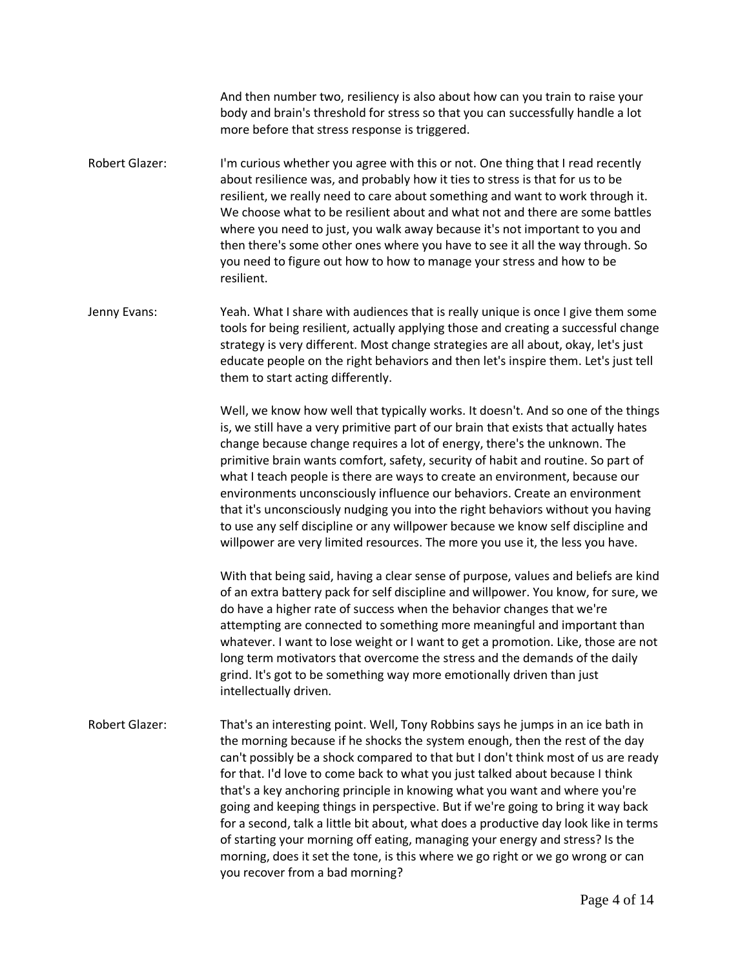And then number two, resiliency is also about how can you train to raise your body and brain's threshold for stress so that you can successfully handle a lot more before that stress response is triggered.

- Robert Glazer: I'm curious whether you agree with this or not. One thing that I read recently about resilience was, and probably how it ties to stress is that for us to be resilient, we really need to care about something and want to work through it. We choose what to be resilient about and what not and there are some battles where you need to just, you walk away because it's not important to you and then there's some other ones where you have to see it all the way through. So you need to figure out how to how to manage your stress and how to be resilient.
- Jenny Evans: Yeah. What I share with audiences that is really unique is once I give them some tools for being resilient, actually applying those and creating a successful change strategy is very different. Most change strategies are all about, okay, let's just educate people on the right behaviors and then let's inspire them. Let's just tell them to start acting differently.

Well, we know how well that typically works. It doesn't. And so one of the things is, we still have a very primitive part of our brain that exists that actually hates change because change requires a lot of energy, there's the unknown. The primitive brain wants comfort, safety, security of habit and routine. So part of what I teach people is there are ways to create an environment, because our environments unconsciously influence our behaviors. Create an environment that it's unconsciously nudging you into the right behaviors without you having to use any self discipline or any willpower because we know self discipline and willpower are very limited resources. The more you use it, the less you have.

With that being said, having a clear sense of purpose, values and beliefs are kind of an extra battery pack for self discipline and willpower. You know, for sure, we do have a higher rate of success when the behavior changes that we're attempting are connected to something more meaningful and important than whatever. I want to lose weight or I want to get a promotion. Like, those are not long term motivators that overcome the stress and the demands of the daily grind. It's got to be something way more emotionally driven than just intellectually driven.

Robert Glazer: That's an interesting point. Well, Tony Robbins says he jumps in an ice bath in the morning because if he shocks the system enough, then the rest of the day can't possibly be a shock compared to that but I don't think most of us are ready for that. I'd love to come back to what you just talked about because I think that's a key anchoring principle in knowing what you want and where you're going and keeping things in perspective. But if we're going to bring it way back for a second, talk a little bit about, what does a productive day look like in terms of starting your morning off eating, managing your energy and stress? Is the morning, does it set the tone, is this where we go right or we go wrong or can you recover from a bad morning?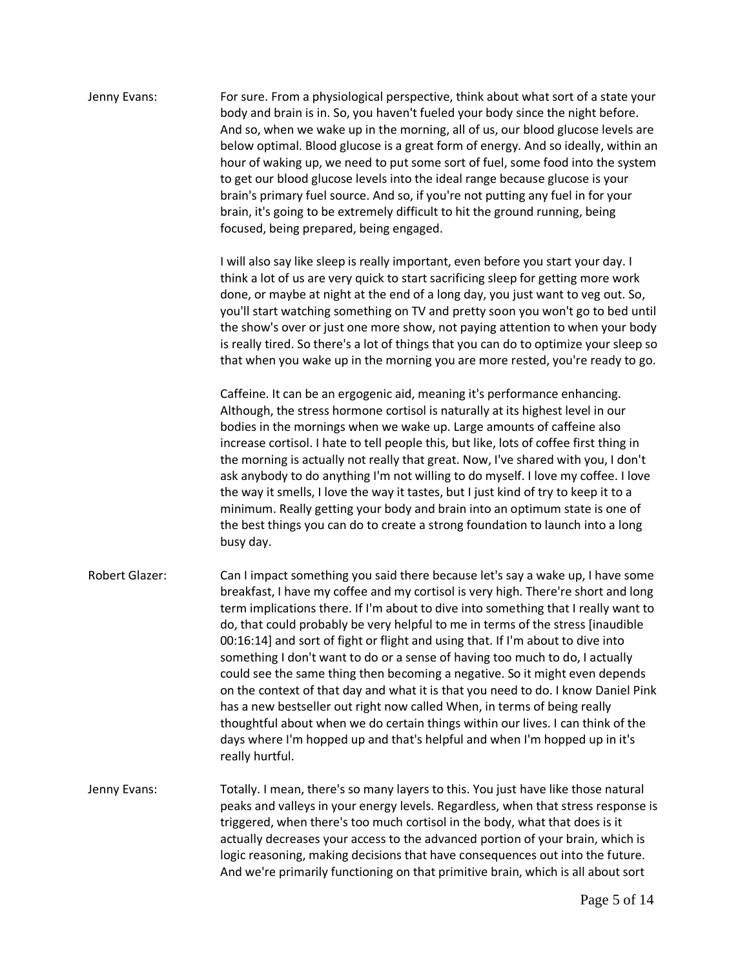Jenny Evans: For sure. From a physiological perspective, think about what sort of a state your body and brain is in. So, you haven't fueled your body since the night before. And so, when we wake up in the morning, all of us, our blood glucose levels are below optimal. Blood glucose is a great form of energy. And so ideally, within an hour of waking up, we need to put some sort of fuel, some food into the system to get our blood glucose levels into the ideal range because glucose is your brain's primary fuel source. And so, if you're not putting any fuel in for your brain, it's going to be extremely difficult to hit the ground running, being focused, being prepared, being engaged. I will also say like sleep is really important, even before you start your day. I think a lot of us are very quick to start sacrificing sleep for getting more work done, or maybe at night at the end of a long day, you just want to veg out. So, you'll start watching something on TV and pretty soon you won't go to bed until the show's over or just one more show, not paying attention to when your body is really tired. So there's a lot of things that you can do to optimize your sleep so that when you wake up in the morning you are more rested, you're ready to go. Caffeine. It can be an ergogenic aid, meaning it's performance enhancing. Although, the stress hormone cortisol is naturally at its highest level in our bodies in the mornings when we wake up. Large amounts of caffeine also increase cortisol. I hate to tell people this, but like, lots of coffee first thing in the morning is actually not really that great. Now, I've shared with you, I don't ask anybody to do anything I'm not willing to do myself. I love my coffee. I love the way it smells, I love the way it tastes, but I just kind of try to keep it to a minimum. Really getting your body and brain into an optimum state is one of the best things you can do to create a strong foundation to launch into a long busy day. Robert Glazer: Can I impact something you said there because let's say a wake up, I have some breakfast, I have my coffee and my cortisol is very high. There're short and long term implications there. If I'm about to dive into something that I really want to do, that could probably be very helpful to me in terms of the stress [inaudible 00:16:14] and sort of fight or flight and using that. If I'm about to dive into something I don't want to do or a sense of having too much to do, I actually could see the same thing then becoming a negative. So it might even depends on the context of that day and what it is that you need to do. I know Daniel Pink has a new bestseller out right now called When, in terms of being really thoughtful about when we do certain things within our lives. I can think of the days where I'm hopped up and that's helpful and when I'm hopped up in it's really hurtful. Jenny Evans: Totally. I mean, there's so many layers to this. You just have like those natural peaks and valleys in your energy levels. Regardless, when that stress response is triggered, when there's too much cortisol in the body, what that does is it actually decreases your access to the advanced portion of your brain, which is logic reasoning, making decisions that have consequences out into the future. And we're primarily functioning on that primitive brain, which is all about sort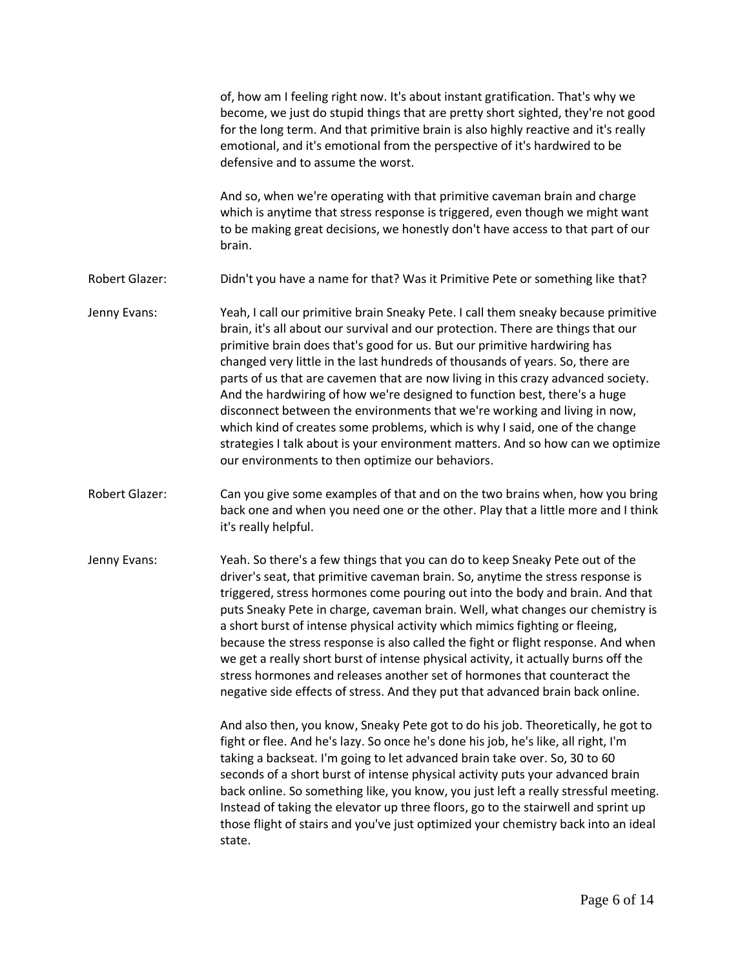|                | of, how am I feeling right now. It's about instant gratification. That's why we<br>become, we just do stupid things that are pretty short sighted, they're not good<br>for the long term. And that primitive brain is also highly reactive and it's really<br>emotional, and it's emotional from the perspective of it's hardwired to be<br>defensive and to assume the worst.                                                                                                                                                                                                                                                                                                                                                                                                                           |
|----------------|----------------------------------------------------------------------------------------------------------------------------------------------------------------------------------------------------------------------------------------------------------------------------------------------------------------------------------------------------------------------------------------------------------------------------------------------------------------------------------------------------------------------------------------------------------------------------------------------------------------------------------------------------------------------------------------------------------------------------------------------------------------------------------------------------------|
|                | And so, when we're operating with that primitive caveman brain and charge<br>which is anytime that stress response is triggered, even though we might want<br>to be making great decisions, we honestly don't have access to that part of our<br>brain.                                                                                                                                                                                                                                                                                                                                                                                                                                                                                                                                                  |
| Robert Glazer: | Didn't you have a name for that? Was it Primitive Pete or something like that?                                                                                                                                                                                                                                                                                                                                                                                                                                                                                                                                                                                                                                                                                                                           |
| Jenny Evans:   | Yeah, I call our primitive brain Sneaky Pete. I call them sneaky because primitive<br>brain, it's all about our survival and our protection. There are things that our<br>primitive brain does that's good for us. But our primitive hardwiring has<br>changed very little in the last hundreds of thousands of years. So, there are<br>parts of us that are cavemen that are now living in this crazy advanced society.<br>And the hardwiring of how we're designed to function best, there's a huge<br>disconnect between the environments that we're working and living in now,<br>which kind of creates some problems, which is why I said, one of the change<br>strategies I talk about is your environment matters. And so how can we optimize<br>our environments to then optimize our behaviors. |
| Robert Glazer: | Can you give some examples of that and on the two brains when, how you bring<br>back one and when you need one or the other. Play that a little more and I think<br>it's really helpful.                                                                                                                                                                                                                                                                                                                                                                                                                                                                                                                                                                                                                 |
| Jenny Evans:   | Yeah. So there's a few things that you can do to keep Sneaky Pete out of the<br>driver's seat, that primitive caveman brain. So, anytime the stress response is<br>triggered, stress hormones come pouring out into the body and brain. And that<br>puts Sneaky Pete in charge, caveman brain. Well, what changes our chemistry is<br>a short burst of intense physical activity which mimics fighting or fleeing,<br>because the stress response is also called the fight or flight response. And when<br>we get a really short burst of intense physical activity, it actually burns off the<br>stress hormones and releases another set of hormones that counteract the<br>negative side effects of stress. And they put that advanced brain back online.                                             |
|                | And also then, you know, Sneaky Pete got to do his job. Theoretically, he got to<br>fight or flee. And he's lazy. So once he's done his job, he's like, all right, I'm<br>taking a backseat. I'm going to let advanced brain take over. So, 30 to 60<br>seconds of a short burst of intense physical activity puts your advanced brain<br>back online. So something like, you know, you just left a really stressful meeting.<br>Instead of taking the elevator up three floors, go to the stairwell and sprint up<br>those flight of stairs and you've just optimized your chemistry back into an ideal<br>state.                                                                                                                                                                                       |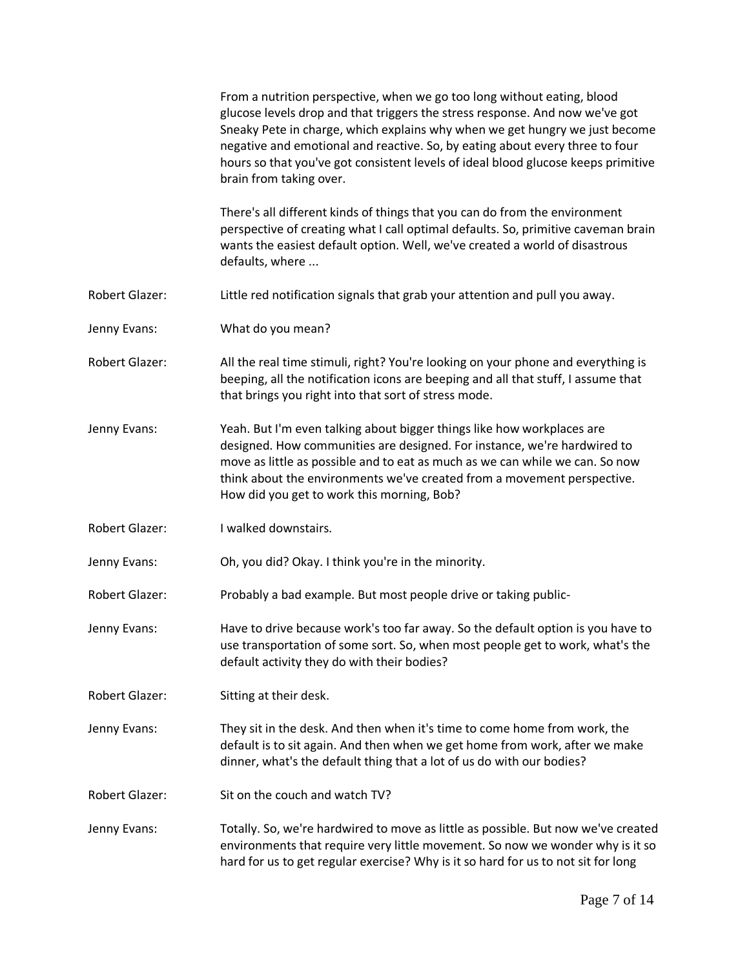|                       | From a nutrition perspective, when we go too long without eating, blood<br>glucose levels drop and that triggers the stress response. And now we've got<br>Sneaky Pete in charge, which explains why when we get hungry we just become<br>negative and emotional and reactive. So, by eating about every three to four<br>hours so that you've got consistent levels of ideal blood glucose keeps primitive<br>brain from taking over. |
|-----------------------|----------------------------------------------------------------------------------------------------------------------------------------------------------------------------------------------------------------------------------------------------------------------------------------------------------------------------------------------------------------------------------------------------------------------------------------|
|                       | There's all different kinds of things that you can do from the environment<br>perspective of creating what I call optimal defaults. So, primitive caveman brain<br>wants the easiest default option. Well, we've created a world of disastrous<br>defaults, where                                                                                                                                                                      |
| <b>Robert Glazer:</b> | Little red notification signals that grab your attention and pull you away.                                                                                                                                                                                                                                                                                                                                                            |
| Jenny Evans:          | What do you mean?                                                                                                                                                                                                                                                                                                                                                                                                                      |
| <b>Robert Glazer:</b> | All the real time stimuli, right? You're looking on your phone and everything is<br>beeping, all the notification icons are beeping and all that stuff, I assume that<br>that brings you right into that sort of stress mode.                                                                                                                                                                                                          |
| Jenny Evans:          | Yeah. But I'm even talking about bigger things like how workplaces are<br>designed. How communities are designed. For instance, we're hardwired to<br>move as little as possible and to eat as much as we can while we can. So now<br>think about the environments we've created from a movement perspective.<br>How did you get to work this morning, Bob?                                                                            |
| <b>Robert Glazer:</b> | I walked downstairs.                                                                                                                                                                                                                                                                                                                                                                                                                   |
| Jenny Evans:          | Oh, you did? Okay. I think you're in the minority.                                                                                                                                                                                                                                                                                                                                                                                     |
| <b>Robert Glazer:</b> | Probably a bad example. But most people drive or taking public-                                                                                                                                                                                                                                                                                                                                                                        |
| Jenny Evans:          | Have to drive because work's too far away. So the default option is you have to<br>use transportation of some sort. So, when most people get to work, what's the<br>default activity they do with their bodies?                                                                                                                                                                                                                        |
| <b>Robert Glazer:</b> | Sitting at their desk.                                                                                                                                                                                                                                                                                                                                                                                                                 |
| Jenny Evans:          | They sit in the desk. And then when it's time to come home from work, the<br>default is to sit again. And then when we get home from work, after we make<br>dinner, what's the default thing that a lot of us do with our bodies?                                                                                                                                                                                                      |
| <b>Robert Glazer:</b> | Sit on the couch and watch TV?                                                                                                                                                                                                                                                                                                                                                                                                         |
| Jenny Evans:          | Totally. So, we're hardwired to move as little as possible. But now we've created<br>environments that require very little movement. So now we wonder why is it so<br>hard for us to get regular exercise? Why is it so hard for us to not sit for long                                                                                                                                                                                |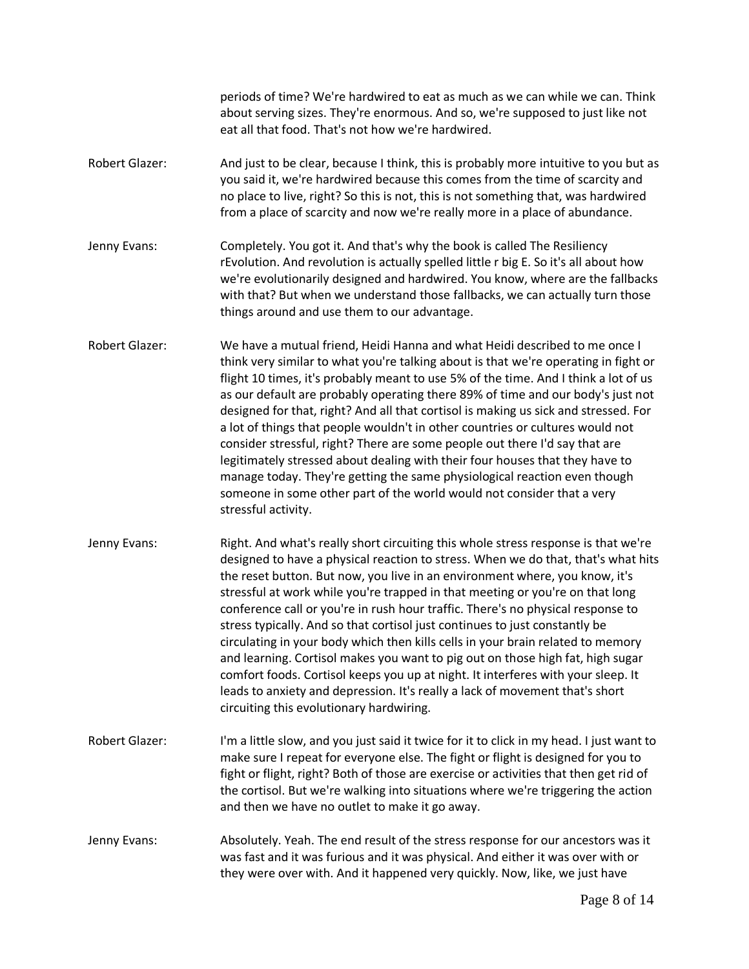periods of time? We're hardwired to eat as much as we can while we can. Think about serving sizes. They're enormous. And so, we're supposed to just like not eat all that food. That's not how we're hardwired.

- Robert Glazer: And just to be clear, because I think, this is probably more intuitive to you but as you said it, we're hardwired because this comes from the time of scarcity and no place to live, right? So this is not, this is not something that, was hardwired from a place of scarcity and now we're really more in a place of abundance.
- Jenny Evans: Completely. You got it. And that's why the book is called The Resiliency rEvolution. And revolution is actually spelled little r big E. So it's all about how we're evolutionarily designed and hardwired. You know, where are the fallbacks with that? But when we understand those fallbacks, we can actually turn those things around and use them to our advantage.
- Robert Glazer: We have a mutual friend, Heidi Hanna and what Heidi described to me once I think very similar to what you're talking about is that we're operating in fight or flight 10 times, it's probably meant to use 5% of the time. And I think a lot of us as our default are probably operating there 89% of time and our body's just not designed for that, right? And all that cortisol is making us sick and stressed. For a lot of things that people wouldn't in other countries or cultures would not consider stressful, right? There are some people out there I'd say that are legitimately stressed about dealing with their four houses that they have to manage today. They're getting the same physiological reaction even though someone in some other part of the world would not consider that a very stressful activity.
- Jenny Evans: Right. And what's really short circuiting this whole stress response is that we're designed to have a physical reaction to stress. When we do that, that's what hits the reset button. But now, you live in an environment where, you know, it's stressful at work while you're trapped in that meeting or you're on that long conference call or you're in rush hour traffic. There's no physical response to stress typically. And so that cortisol just continues to just constantly be circulating in your body which then kills cells in your brain related to memory and learning. Cortisol makes you want to pig out on those high fat, high sugar comfort foods. Cortisol keeps you up at night. It interferes with your sleep. It leads to anxiety and depression. It's really a lack of movement that's short circuiting this evolutionary hardwiring.
- Robert Glazer: I'm a little slow, and you just said it twice for it to click in my head. I just want to make sure I repeat for everyone else. The fight or flight is designed for you to fight or flight, right? Both of those are exercise or activities that then get rid of the cortisol. But we're walking into situations where we're triggering the action and then we have no outlet to make it go away.
- Jenny Evans: Absolutely. Yeah. The end result of the stress response for our ancestors was it was fast and it was furious and it was physical. And either it was over with or they were over with. And it happened very quickly. Now, like, we just have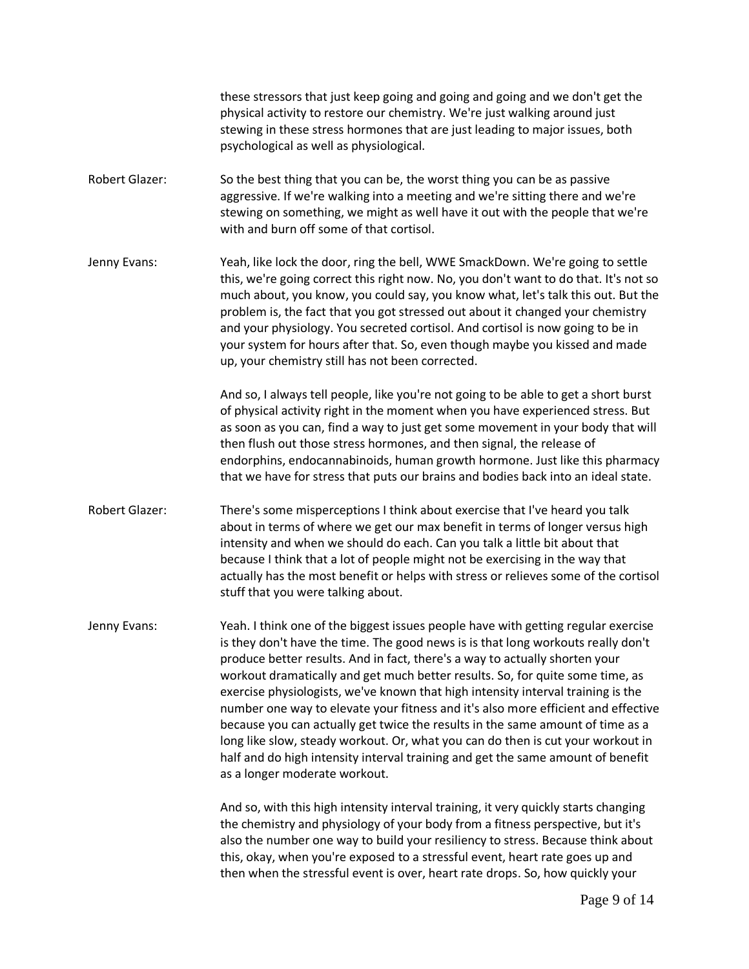these stressors that just keep going and going and going and we don't get the physical activity to restore our chemistry. We're just walking around just stewing in these stress hormones that are just leading to major issues, both psychological as well as physiological.

- Robert Glazer: So the best thing that you can be, the worst thing you can be as passive aggressive. If we're walking into a meeting and we're sitting there and we're stewing on something, we might as well have it out with the people that we're with and burn off some of that cortisol.
- Jenny Evans: Yeah, like lock the door, ring the bell, WWE SmackDown. We're going to settle this, we're going correct this right now. No, you don't want to do that. It's not so much about, you know, you could say, you know what, let's talk this out. But the problem is, the fact that you got stressed out about it changed your chemistry and your physiology. You secreted cortisol. And cortisol is now going to be in your system for hours after that. So, even though maybe you kissed and made up, your chemistry still has not been corrected.

And so, I always tell people, like you're not going to be able to get a short burst of physical activity right in the moment when you have experienced stress. But as soon as you can, find a way to just get some movement in your body that will then flush out those stress hormones, and then signal, the release of endorphins, endocannabinoids, human growth hormone. Just like this pharmacy that we have for stress that puts our brains and bodies back into an ideal state.

Robert Glazer: There's some misperceptions I think about exercise that I've heard you talk about in terms of where we get our max benefit in terms of longer versus high intensity and when we should do each. Can you talk a little bit about that because I think that a lot of people might not be exercising in the way that actually has the most benefit or helps with stress or relieves some of the cortisol stuff that you were talking about.

Jenny Evans: Yeah. I think one of the biggest issues people have with getting regular exercise is they don't have the time. The good news is is that long workouts really don't produce better results. And in fact, there's a way to actually shorten your workout dramatically and get much better results. So, for quite some time, as exercise physiologists, we've known that high intensity interval training is the number one way to elevate your fitness and it's also more efficient and effective because you can actually get twice the results in the same amount of time as a long like slow, steady workout. Or, what you can do then is cut your workout in half and do high intensity interval training and get the same amount of benefit as a longer moderate workout.

> And so, with this high intensity interval training, it very quickly starts changing the chemistry and physiology of your body from a fitness perspective, but it's also the number one way to build your resiliency to stress. Because think about this, okay, when you're exposed to a stressful event, heart rate goes up and then when the stressful event is over, heart rate drops. So, how quickly your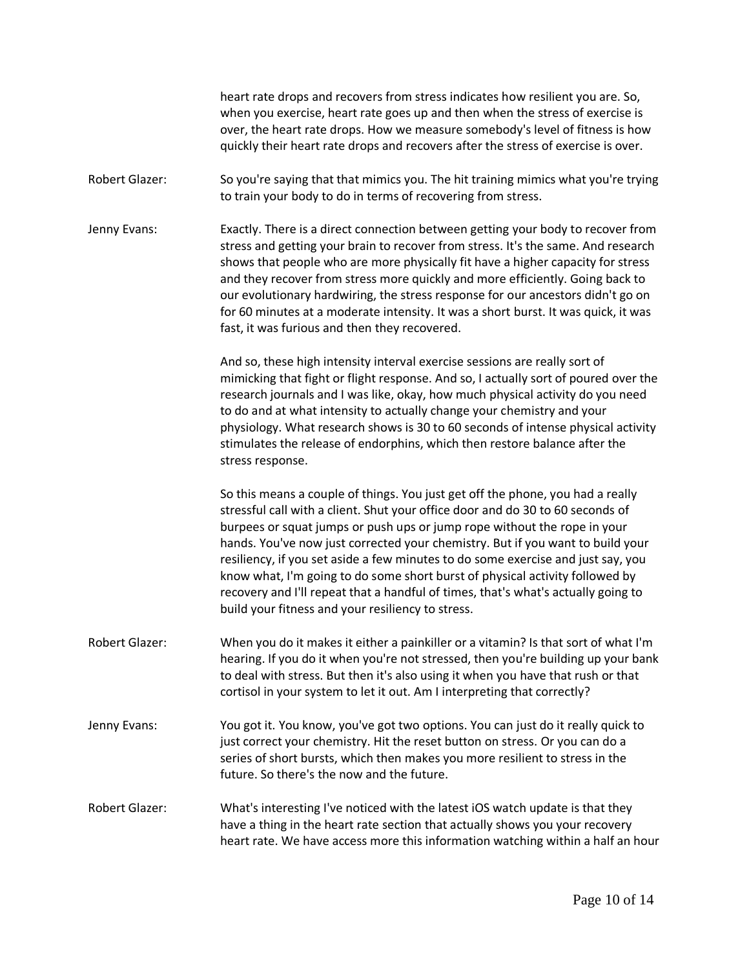heart rate drops and recovers from stress indicates how resilient you are. So, when you exercise, heart rate goes up and then when the stress of exercise is over, the heart rate drops. How we measure somebody's level of fitness is how quickly their heart rate drops and recovers after the stress of exercise is over.

- Robert Glazer: So you're saying that that mimics you. The hit training mimics what you're trying to train your body to do in terms of recovering from stress.
- Jenny Evans: Exactly. There is a direct connection between getting your body to recover from stress and getting your brain to recover from stress. It's the same. And research shows that people who are more physically fit have a higher capacity for stress and they recover from stress more quickly and more efficiently. Going back to our evolutionary hardwiring, the stress response for our ancestors didn't go on for 60 minutes at a moderate intensity. It was a short burst. It was quick, it was fast, it was furious and then they recovered.

And so, these high intensity interval exercise sessions are really sort of mimicking that fight or flight response. And so, I actually sort of poured over the research journals and I was like, okay, how much physical activity do you need to do and at what intensity to actually change your chemistry and your physiology. What research shows is 30 to 60 seconds of intense physical activity stimulates the release of endorphins, which then restore balance after the stress response.

So this means a couple of things. You just get off the phone, you had a really stressful call with a client. Shut your office door and do 30 to 60 seconds of burpees or squat jumps or push ups or jump rope without the rope in your hands. You've now just corrected your chemistry. But if you want to build your resiliency, if you set aside a few minutes to do some exercise and just say, you know what, I'm going to do some short burst of physical activity followed by recovery and I'll repeat that a handful of times, that's what's actually going to build your fitness and your resiliency to stress.

- Robert Glazer: When you do it makes it either a painkiller or a vitamin? Is that sort of what I'm hearing. If you do it when you're not stressed, then you're building up your bank to deal with stress. But then it's also using it when you have that rush or that cortisol in your system to let it out. Am I interpreting that correctly?
- Jenny Evans: You got it. You know, you've got two options. You can just do it really quick to just correct your chemistry. Hit the reset button on stress. Or you can do a series of short bursts, which then makes you more resilient to stress in the future. So there's the now and the future.
- Robert Glazer: What's interesting I've noticed with the latest iOS watch update is that they have a thing in the heart rate section that actually shows you your recovery heart rate. We have access more this information watching within a half an hour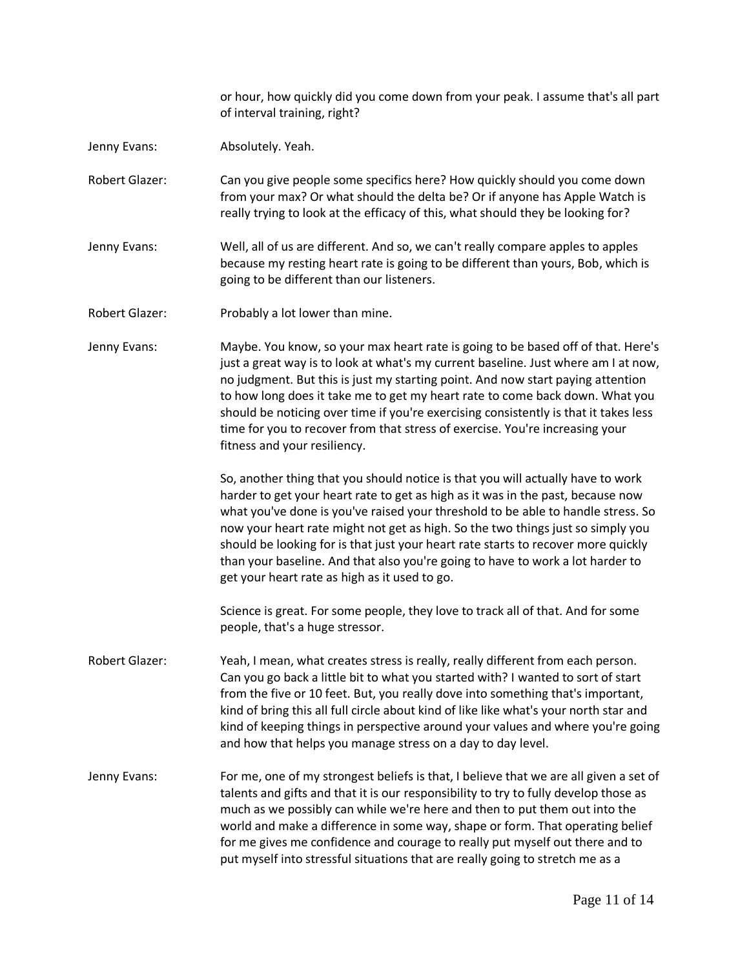or hour, how quickly did you come down from your peak. I assume that's all part of interval training, right?

- Jenny Evans: Absolutely. Yeah.
- Robert Glazer: Can you give people some specifics here? How quickly should you come down from your max? Or what should the delta be? Or if anyone has Apple Watch is really trying to look at the efficacy of this, what should they be looking for?
- Jenny Evans: Well, all of us are different. And so, we can't really compare apples to apples because my resting heart rate is going to be different than yours, Bob, which is going to be different than our listeners.
- Robert Glazer: Probably a lot lower than mine.
- Jenny Evans: Maybe. You know, so your max heart rate is going to be based off of that. Here's just a great way is to look at what's my current baseline. Just where am I at now, no judgment. But this is just my starting point. And now start paying attention to how long does it take me to get my heart rate to come back down. What you should be noticing over time if you're exercising consistently is that it takes less time for you to recover from that stress of exercise. You're increasing your fitness and your resiliency.

So, another thing that you should notice is that you will actually have to work harder to get your heart rate to get as high as it was in the past, because now what you've done is you've raised your threshold to be able to handle stress. So now your heart rate might not get as high. So the two things just so simply you should be looking for is that just your heart rate starts to recover more quickly than your baseline. And that also you're going to have to work a lot harder to get your heart rate as high as it used to go.

Science is great. For some people, they love to track all of that. And for some people, that's a huge stressor.

- Robert Glazer: Yeah, I mean, what creates stress is really, really different from each person. Can you go back a little bit to what you started with? I wanted to sort of start from the five or 10 feet. But, you really dove into something that's important, kind of bring this all full circle about kind of like like what's your north star and kind of keeping things in perspective around your values and where you're going and how that helps you manage stress on a day to day level.
- Jenny Evans: For me, one of my strongest beliefs is that, I believe that we are all given a set of talents and gifts and that it is our responsibility to try to fully develop those as much as we possibly can while we're here and then to put them out into the world and make a difference in some way, shape or form. That operating belief for me gives me confidence and courage to really put myself out there and to put myself into stressful situations that are really going to stretch me as a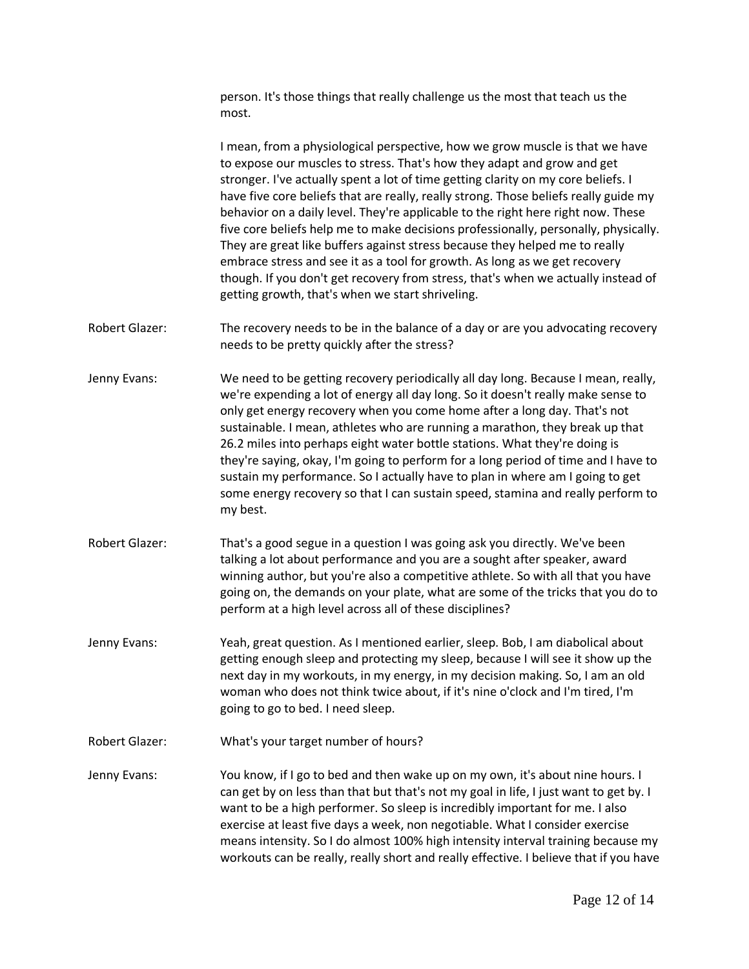person. It's those things that really challenge us the most that teach us the most. I mean, from a physiological perspective, how we grow muscle is that we have to expose our muscles to stress. That's how they adapt and grow and get stronger. I've actually spent a lot of time getting clarity on my core beliefs. I have five core beliefs that are really, really strong. Those beliefs really guide my behavior on a daily level. They're applicable to the right here right now. These five core beliefs help me to make decisions professionally, personally, physically. They are great like buffers against stress because they helped me to really

embrace stress and see it as a tool for growth. As long as we get recovery though. If you don't get recovery from stress, that's when we actually instead of getting growth, that's when we start shriveling.

- Robert Glazer: The recovery needs to be in the balance of a day or are you advocating recovery needs to be pretty quickly after the stress?
- Jenny Evans: We need to be getting recovery periodically all day long. Because I mean, really, we're expending a lot of energy all day long. So it doesn't really make sense to only get energy recovery when you come home after a long day. That's not sustainable. I mean, athletes who are running a marathon, they break up that 26.2 miles into perhaps eight water bottle stations. What they're doing is they're saying, okay, I'm going to perform for a long period of time and I have to sustain my performance. So I actually have to plan in where am I going to get some energy recovery so that I can sustain speed, stamina and really perform to my best.
- Robert Glazer: That's a good segue in a question I was going ask you directly. We've been talking a lot about performance and you are a sought after speaker, award winning author, but you're also a competitive athlete. So with all that you have going on, the demands on your plate, what are some of the tricks that you do to perform at a high level across all of these disciplines?
- Jenny Evans: Yeah, great question. As I mentioned earlier, sleep. Bob, I am diabolical about getting enough sleep and protecting my sleep, because I will see it show up the next day in my workouts, in my energy, in my decision making. So, I am an old woman who does not think twice about, if it's nine o'clock and I'm tired, I'm going to go to bed. I need sleep.
- Robert Glazer: What's your target number of hours?
- Jenny Evans: You know, if I go to bed and then wake up on my own, it's about nine hours. I can get by on less than that but that's not my goal in life, I just want to get by. I want to be a high performer. So sleep is incredibly important for me. I also exercise at least five days a week, non negotiable. What I consider exercise means intensity. So I do almost 100% high intensity interval training because my workouts can be really, really short and really effective. I believe that if you have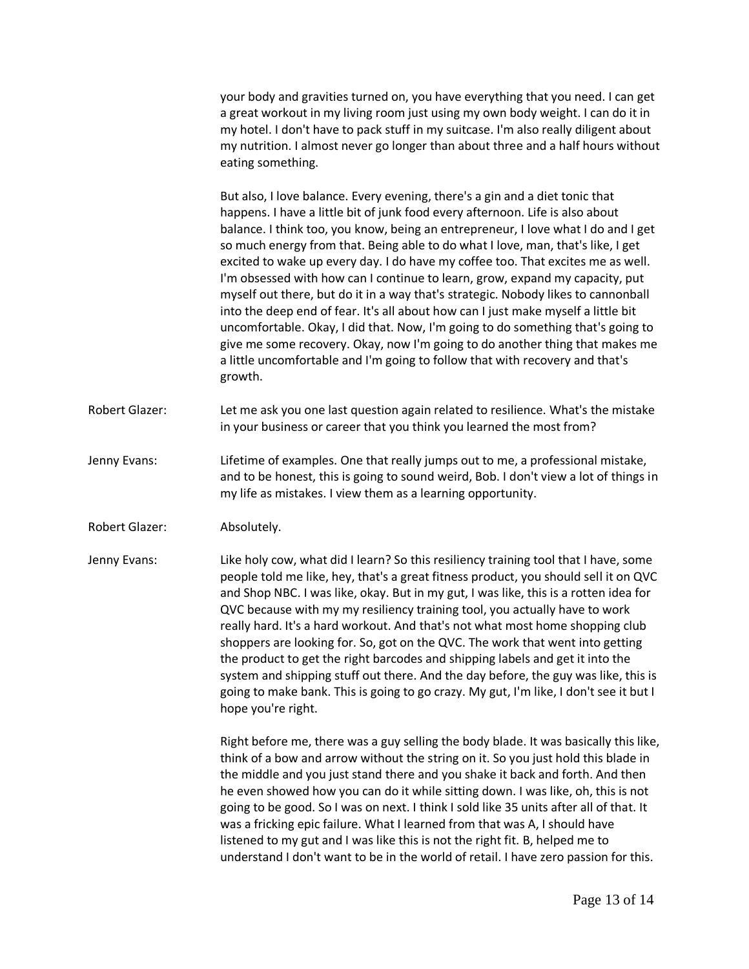your body and gravities turned on, you have everything that you need. I can get a great workout in my living room just using my own body weight. I can do it in my hotel. I don't have to pack stuff in my suitcase. I'm also really diligent about my nutrition. I almost never go longer than about three and a half hours without eating something.

But also, I love balance. Every evening, there's a gin and a diet tonic that happens. I have a little bit of junk food every afternoon. Life is also about balance. I think too, you know, being an entrepreneur, I love what I do and I get so much energy from that. Being able to do what I love, man, that's like, I get excited to wake up every day. I do have my coffee too. That excites me as well. I'm obsessed with how can I continue to learn, grow, expand my capacity, put myself out there, but do it in a way that's strategic. Nobody likes to cannonball into the deep end of fear. It's all about how can I just make myself a little bit uncomfortable. Okay, I did that. Now, I'm going to do something that's going to give me some recovery. Okay, now I'm going to do another thing that makes me a little uncomfortable and I'm going to follow that with recovery and that's growth.

- Robert Glazer: Let me ask you one last question again related to resilience. What's the mistake in your business or career that you think you learned the most from?
- Jenny Evans: Lifetime of examples. One that really jumps out to me, a professional mistake, and to be honest, this is going to sound weird, Bob. I don't view a lot of things in my life as mistakes. I view them as a learning opportunity.
- Robert Glazer: Absolutely.
- Jenny Evans: Like holy cow, what did I learn? So this resiliency training tool that I have, some people told me like, hey, that's a great fitness product, you should sell it on QVC and Shop NBC. I was like, okay. But in my gut, I was like, this is a rotten idea for QVC because with my my resiliency training tool, you actually have to work really hard. It's a hard workout. And that's not what most home shopping club shoppers are looking for. So, got on the QVC. The work that went into getting the product to get the right barcodes and shipping labels and get it into the system and shipping stuff out there. And the day before, the guy was like, this is going to make bank. This is going to go crazy. My gut, I'm like, I don't see it but I hope you're right.

Right before me, there was a guy selling the body blade. It was basically this like, think of a bow and arrow without the string on it. So you just hold this blade in the middle and you just stand there and you shake it back and forth. And then he even showed how you can do it while sitting down. I was like, oh, this is not going to be good. So I was on next. I think I sold like 35 units after all of that. It was a fricking epic failure. What I learned from that was A, I should have listened to my gut and I was like this is not the right fit. B, helped me to understand I don't want to be in the world of retail. I have zero passion for this.